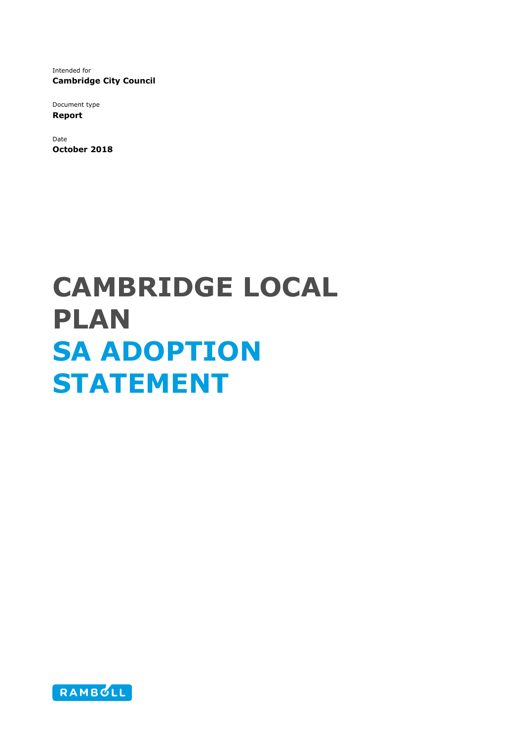Intended for **Cambridge City Council**

Document type **Report**

Date **October 2018**

# **CAMBRIDGE LOCAL PLAN SA ADOPTION STATEMENT**

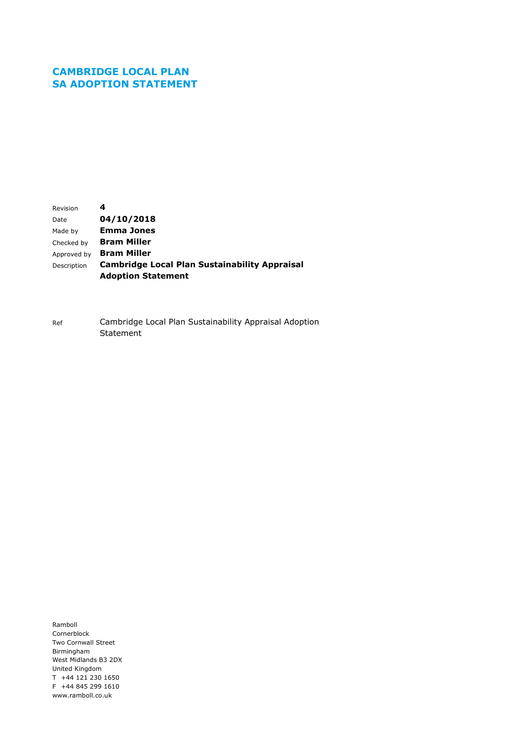### **CAMBRIDGE LOCAL PLAN SA ADOPTION STATEMENT**

Revision **4** Date **04/10/2018** Made by **Emma Jones** Checked by **Bram Miller** Approved by **Bram Miller** Description **Cambridge Local Plan Sustainability Appraisal Adoption Statement**

Ref Cambridge Local Plan Sustainability Appraisal Adoption Statement

Ramboll Cornerblock Two Cornwall Street Birmingham West Midlands B3 2DX United Kingdom T +44 121 230 1650 F +44 845 299 1610 www.ramboll.co.uk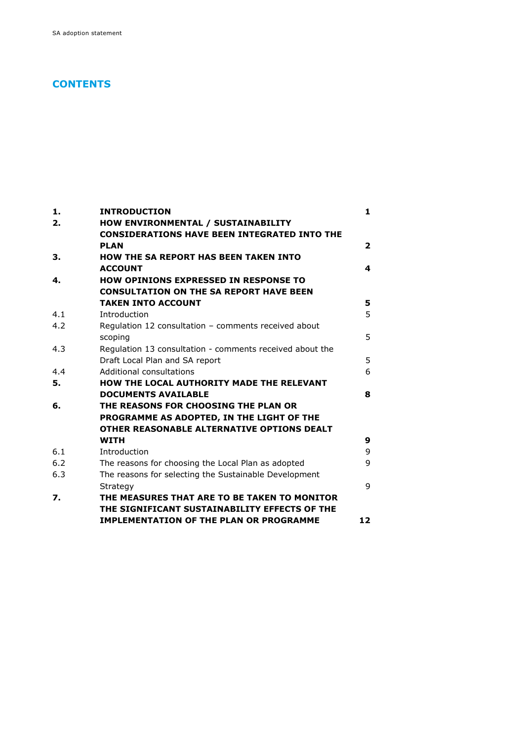### **CONTENTS**

| 1.  | <b>INTRODUCTION</b>                                      | 1            |
|-----|----------------------------------------------------------|--------------|
| 2.  | HOW ENVIRONMENTAL / SUSTAINABILITY                       |              |
|     | <b>CONSIDERATIONS HAVE BEEN INTEGRATED INTO THE</b>      |              |
|     | <b>PLAN</b>                                              | $\mathbf{2}$ |
| З.  | <b>HOW THE SA REPORT HAS BEEN TAKEN INTO</b>             |              |
|     | <b>ACCOUNT</b>                                           | 4            |
| 4.  | <b>HOW OPINIONS EXPRESSED IN RESPONSE TO</b>             |              |
|     | <b>CONSULTATION ON THE SA REPORT HAVE BEEN</b>           |              |
|     | <b>TAKEN INTO ACCOUNT</b>                                | 5            |
| 4.1 | Introduction                                             | 5            |
| 4.2 | Regulation 12 consultation – comments received about     |              |
|     | scoping                                                  | 5            |
| 4.3 | Regulation 13 consultation - comments received about the |              |
|     | Draft Local Plan and SA report                           | 5            |
| 4.4 | Additional consultations                                 | 6            |
| 5.  | <b>HOW THE LOCAL AUTHORITY MADE THE RELEVANT</b>         |              |
|     | <b>DOCUMENTS AVAILABLE</b>                               | 8            |
| 6.  | THE REASONS FOR CHOOSING THE PLAN OR                     |              |
|     | PROGRAMME AS ADOPTED, IN THE LIGHT OF THE                |              |
|     | OTHER REASONABLE ALTERNATIVE OPTIONS DEALT               |              |
|     | <b>WITH</b>                                              | 9            |
| 6.1 | Introduction                                             | 9            |
| 6.2 | The reasons for choosing the Local Plan as adopted       | 9            |
| 6.3 | The reasons for selecting the Sustainable Development    |              |
|     | Strategy                                                 | 9            |
| 7.  | THE MEASURES THAT ARE TO BE TAKEN TO MONITOR             |              |
|     | THE SIGNIFICANT SUSTAINABILITY EFFECTS OF THE            |              |
|     | <b>IMPLEMENTATION OF THE PLAN OR PROGRAMME</b>           | 12           |
|     |                                                          |              |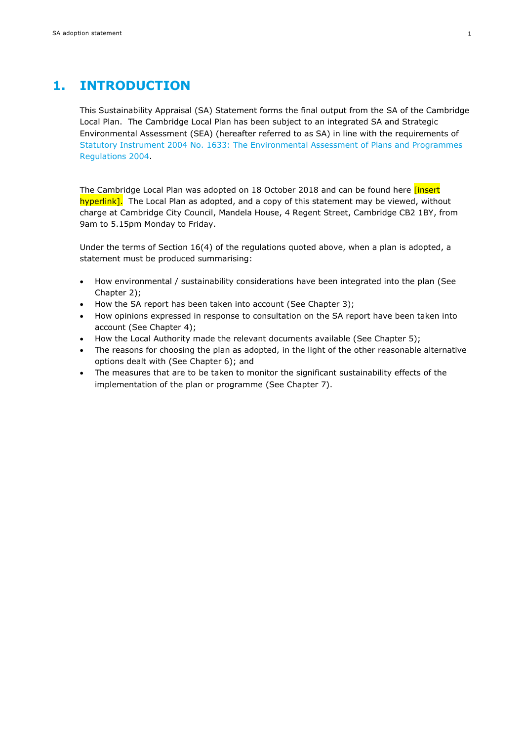### <span id="page-3-0"></span>**1. INTRODUCTION**

This Sustainability Appraisal (SA) Statement forms the final output from the SA of the Cambridge Local Plan. The Cambridge Local Plan has been subject to an integrated SA and Strategic Environmental Assessment (SEA) (hereafter referred to as SA) in line with the requirements of [Statutory Instrument 2004 No. 1633: The Environmental Assessment of Plans and Programmes](http://www.legislation.gov.uk/uksi/2004/1633/pdfs/uksi_20041633_en.pdf)  [Regulations 2004.](http://www.legislation.gov.uk/uksi/2004/1633/pdfs/uksi_20041633_en.pdf)

The Cambridge Local Plan was adopted on 18 October 2018 and can be found here *[insert*] hyperlink]. The Local Plan as adopted, and a copy of this statement may be viewed, without charge at Cambridge City Council, Mandela House, 4 Regent Street, Cambridge CB2 1BY, from 9am to 5.15pm Monday to Friday.

Under the terms of Section 16(4) of the regulations quoted above, when a plan is adopted, a statement must be produced summarising:

- How environmental / sustainability considerations have been integrated into the plan (See Chapter 2);
- How the SA report has been taken into account (See Chapter 3);
- How opinions expressed in response to consultation on the SA report have been taken into account (See Chapter 4);
- How the Local Authority made the relevant documents available (See Chapter 5);
- The reasons for choosing the plan as adopted, in the light of the other reasonable alternative options dealt with (See Chapter 6); and
- The measures that are to be taken to monitor the significant sustainability effects of the implementation of the plan or programme (See Chapter 7).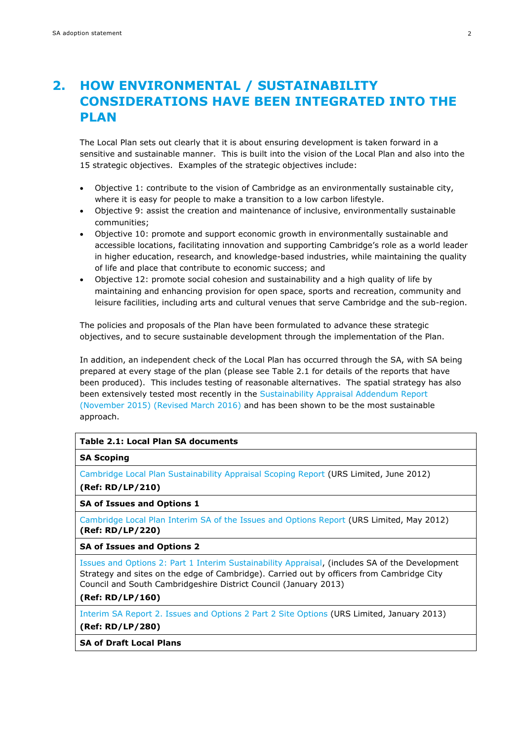# <span id="page-4-0"></span>**2. HOW ENVIRONMENTAL / SUSTAINABILITY CONSIDERATIONS HAVE BEEN INTEGRATED INTO THE PLAN**

The Local Plan sets out clearly that it is about ensuring development is taken forward in a sensitive and sustainable manner. This is built into the vision of the Local Plan and also into the 15 strategic objectives. Examples of the strategic objectives include:

- Objective 1: contribute to the vision of Cambridge as an environmentally sustainable city, where it is easy for people to make a transition to a low carbon lifestyle.
- Objective 9: assist the creation and maintenance of inclusive, environmentally sustainable communities;
- Objective 10: promote and support economic growth in environmentally sustainable and accessible locations, facilitating innovation and supporting Cambridge's role as a world leader in higher education, research, and knowledge-based industries, while maintaining the quality of life and place that contribute to economic success; and
- Objective 12: promote social cohesion and sustainability and a high quality of life by maintaining and enhancing provision for open space, sports and recreation, community and leisure facilities, including arts and cultural venues that serve Cambridge and the sub-region.

The policies and proposals of the Plan have been formulated to advance these strategic objectives, and to secure sustainable development through the implementation of the Plan.

In addition, an independent check of the Local Plan has occurred through the SA, with SA being prepared at every stage of the plan (please see Table 2.1 for details of the reports that have been produced). This includes testing of reasonable alternatives. The spatial strategy has also been extensively tested most recently in the [Sustainability Appraisal Addendum Report](https://www.cambridge.gov.uk/public/ldf/coredocs/RD-MC/rd-mc-021/rd-mc-021-2-main.pdf)  [\(November 2015\) \(Revised March 2016\)](https://www.cambridge.gov.uk/public/ldf/coredocs/RD-MC/rd-mc-021/rd-mc-021-2-main.pdf) and has been shown to be the most sustainable approach.

### **Table 2.1: Local Plan SA documents**

### **SA Scoping**

[Cambridge Local Plan Sustainability Appraisal Scoping Report](https://cambridge.blob.core.windows.net/public/ldf/coredocs/RD-LP-210.pdf) (URS Limited, June 2012) **(Ref: RD/LP/210)**

**SA of Issues and Options 1**

[Cambridge Local Plan Interim SA of the Issues and Options Report](https://cambridge.blob.core.windows.net/public/ldf/coredocs/RD-LP-220.pdf) (URS Limited, May 2012) **(Ref: RD/LP/220)**

### **SA of Issues and Options 2**

[Issues and Options 2: Part 1 Interim Sustainability Appraisal,](https://www.cambridge.gov.uk/media/1800/issues-and-options-2-part-1-sustainability-appraisal.pdf) (includes SA of the Development Strategy and sites on the edge of Cambridge). Carried out by officers from Cambridge City Council and South Cambridgeshire District Council (January 2013)

### **(Ref: RD/LP/160)**

[Interim SA Report 2. Issues and Options 2 Part 2 Site Options](https://www.cambridge.gov.uk/media/1801/issues-and-options-2-part-2-sustainability-appraisal.pdf) (URS Limited, January 2013) **(Ref: RD/LP/280)**

### **SA of Draft Local Plans**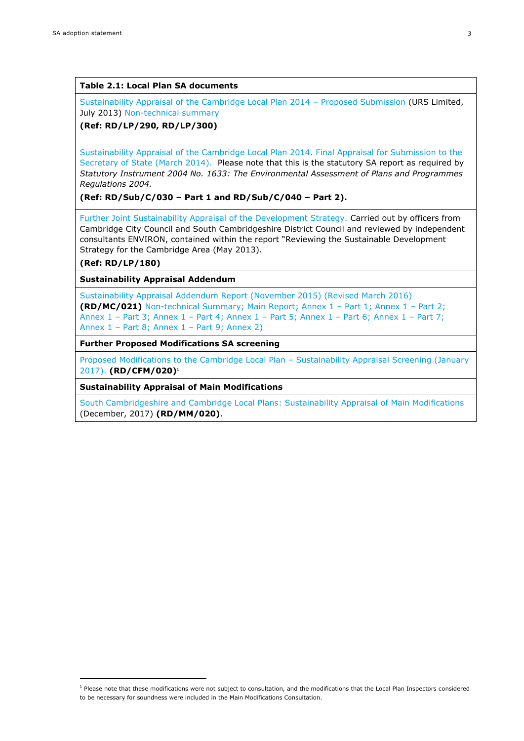#### **Table 2.1: Local Plan SA documents**

[Sustainability Appraisal of the Cambridge Local Plan 2014](https://www.cambridge.gov.uk/media/1796/final-sa-report-for-printing.pdf) – Proposed Submission (URS Limited, July 2013) [Non-technical summary](https://cambridge.blob.core.windows.net/public/ldf/coredocs/RD-LP-300.pdf)

### **(Ref: RD/LP/290, RD/LP/300)**

[Sustainability Appraisal of the Cambridge Local Plan 2014. Final Appraisal for Submission to the](https://www.cambridge.gov.uk/public/ldf/coredocs/RD-SUB-C-030.pdf)  [Secretary of State \(March 2014\).](https://www.cambridge.gov.uk/public/ldf/coredocs/RD-SUB-C-030.pdf) Please note that this is the statutory SA report as required by *Statutory Instrument 2004 No. 1633: The Environmental Assessment of Plans and Programmes Regulations 2004.*

### **(Ref: RD/Sub/C/030 – Part 1 and RD/Sub/C/040 – Part 2).**

[Further Joint Sustainability Appraisal of the Development Strategy.](https://cambridge.blob.core.windows.net/public/ldf/coredocs/Joint%20SA%20of%20the%20Development%20Strategy.pdf) Carried out by officers from Cambridge City Council and South Cambridgeshire District Council and reviewed by independent consultants ENVIRON, contained within the report "Reviewing the Sustainable Development Strategy for the Cambridge Area (May 2013).

**(Ref: RD/LP/180)**

-

**Sustainability Appraisal Addendum**

[Sustainability Appraisal Addendum Report \(November 2015\) \(Revised March 2016\)](https://www.cambridge.gov.uk/public/ldf/coredocs/RD-MC/rd-mc-021/rd-mc-021-2-main.pdf) **(RD/MC/021)** [Non-technical Summary;](https://www.cambridge.gov.uk/public/ldf/coredocs/RD-MC/rd-mc-021/rd-mc-021-1-nts.pdf) [Main Report;](https://www.cambridge.gov.uk/public/ldf/coredocs/RD-MC/rd-mc-021/rd-mc-021-2-main.pdf) [Annex 1](https://www.cambridge.gov.uk/public/ldf/coredocs/RD-MC/rd-mc-021/rd-mc-021-3-annex1-1.pdf) – Part 1; [Annex 1](https://www.cambridge.gov.uk/public/ldf/coredocs/RD-MC/rd-mc-021/rd-mc-021-4-annex1-2.pdf) – Part 2; [Annex 1](https://www.cambridge.gov.uk/public/ldf/coredocs/RD-MC/rd-mc-021/rd-mc-021-5-annex1-3.pdf) – Part 3; [Annex 1](https://www.cambridge.gov.uk/public/ldf/coredocs/RD-MC/rd-mc-021/rd-mc-021-6-annex1-4.pdf) – Part 4; [Annex 1](https://www.cambridge.gov.uk/public/ldf/coredocs/RD-MC/rd-mc-021/rd-mc-021-7-annex1-5.pdf) – Part 5; [Annex 1](https://www.cambridge.gov.uk/public/ldf/coredocs/RD-MC/rd-mc-021/rd-mc-021-8-annex1-6.pdf) – Part 6; [Annex 1](https://www.cambridge.gov.uk/public/ldf/coredocs/RD-MC/rd-mc-021/rd-mc-021-9-annex1-7.pdf) – Part 7; [Annex 1](https://www.cambridge.gov.uk/public/ldf/coredocs/RD-MC/rd-mc-021/rd-mc-021-10-annex1-8.pdf) – Part 8; [Annex 1](https://www.cambridge.gov.uk/public/ldf/coredocs/RD-MC/rd-mc-021/rd-mc-021-11-annex1-9.pdf) – Part 9; [Annex 2\)](https://www.cambridge.gov.uk/public/ldf/coredocs/RD-MC/rd-mc-021/rd-mc-021-12-annex2.pdf)

**Further Proposed Modifications SA screening**

[Proposed Modifications to the Cambridge Local Plan](https://www.cambridge.gov.uk/public/ldf/coredocs/RD-CFM/rd-cfm-020.pdf) – Sustainability Appraisal Screening (January [2017\).](https://www.cambridge.gov.uk/public/ldf/coredocs/RD-CFM/rd-cfm-020.pdf) **(RD/CFM/020)<sup>1</sup>**

**Sustainability Appraisal of Main Modifications**

[South Cambridgeshire and Cambridge Local Plans: Sustainability Appraisal of Main Modifications](https://www.cambridge.gov.uk/public/ldf/coredocs/RD-MM/rd-mm-020/2%20-%20Main%20report.pdf) (December, 2017) **(RD/MM/020)**.

<sup>&</sup>lt;sup>1</sup> Please note that these modifications were not subject to consultation, and the modifications that the Local Plan Inspectors considered to be necessary for soundness were included in the Main Modifications Consultation.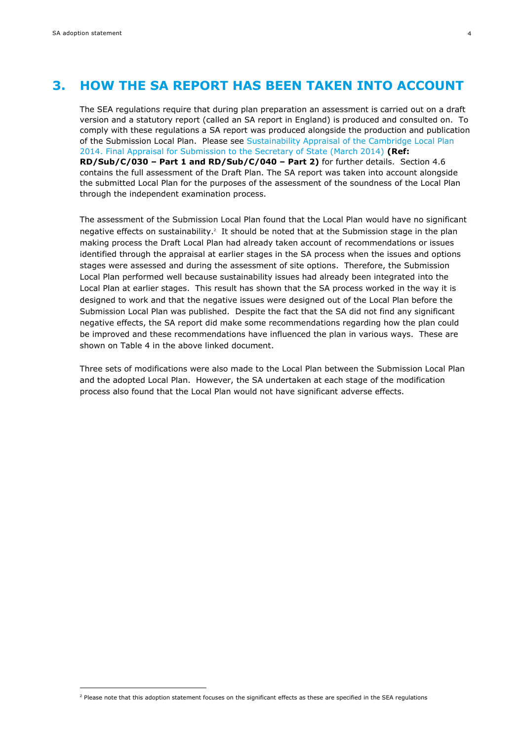-

### <span id="page-6-0"></span>**3. HOW THE SA REPORT HAS BEEN TAKEN INTO ACCOUNT**

The SEA regulations require that during plan preparation an assessment is carried out on a draft version and a statutory report (called an SA report in England) is produced and consulted on. To comply with these regulations a SA report was produced alongside the production and publication of the Submission Local Plan. Please see Sustainability Appraisal of the Cambridge Local Plan [2014. Final Appraisal for Submission to the Secretary of State \(March 2014\)](https://www.cambridge.gov.uk/public/ldf/coredocs/RD-SUB-C-030.pdf) **(Ref: RD/Sub/C/030 – Part 1 and RD/Sub/C/040 – Part 2)** for further details. Section 4.6 contains the full assessment of the Draft Plan. The SA report was taken into account alongside the submitted Local Plan for the purposes of the assessment of the soundness of the Local Plan through the independent examination process.

The assessment of the Submission Local Plan found that the Local Plan would have no significant negative effects on sustainability.<sup>2</sup> It should be noted that at the Submission stage in the plan making process the Draft Local Plan had already taken account of recommendations or issues identified through the appraisal at earlier stages in the SA process when the issues and options stages were assessed and during the assessment of site options. Therefore, the Submission Local Plan performed well because sustainability issues had already been integrated into the Local Plan at earlier stages. This result has shown that the SA process worked in the way it is designed to work and that the negative issues were designed out of the Local Plan before the Submission Local Plan was published. Despite the fact that the SA did not find any significant negative effects, the SA report did make some recommendations regarding how the plan could be improved and these recommendations have influenced the plan in various ways. These are shown on Table 4 in the above linked document.

Three sets of modifications were also made to the Local Plan between the Submission Local Plan and the adopted Local Plan. However, the SA undertaken at each stage of the modification process also found that the Local Plan would not have significant adverse effects.

<sup>&</sup>lt;sup>2</sup> Please note that this adoption statement focuses on the significant effects as these are specified in the SEA regulations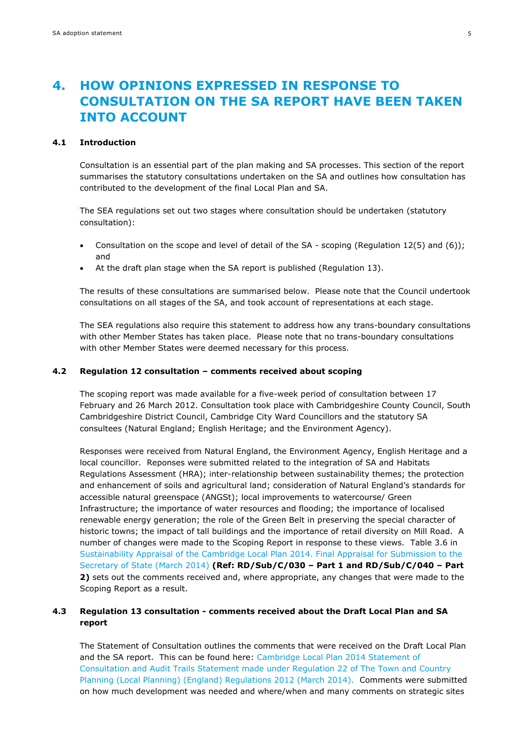# <span id="page-7-0"></span>**4. HOW OPINIONS EXPRESSED IN RESPONSE TO CONSULTATION ON THE SA REPORT HAVE BEEN TAKEN INTO ACCOUNT**

### <span id="page-7-1"></span>**4.1 Introduction**

Consultation is an essential part of the plan making and SA processes. This section of the report summarises the statutory consultations undertaken on the SA and outlines how consultation has contributed to the development of the final Local Plan and SA.

The SEA regulations set out two stages where consultation should be undertaken (statutory consultation):

- Consultation on the scope and level of detail of the SA scoping (Regulation 12(5) and (6)); and
- At the draft plan stage when the SA report is published (Regulation 13).

The results of these consultations are summarised below. Please note that the Council undertook consultations on all stages of the SA, and took account of representations at each stage.

The SEA regulations also require this statement to address how any trans-boundary consultations with other Member States has taken place. Please note that no trans-boundary consultations with other Member States were deemed necessary for this process.

### <span id="page-7-2"></span>**4.2 Regulation 12 consultation – comments received about scoping**

The scoping report was made available for a five-week period of consultation between 17 February and 26 March 2012. Consultation took place with Cambridgeshire County Council, South Cambridgeshire District Council, Cambridge City Ward Councillors and the statutory SA consultees (Natural England; English Heritage; and the Environment Agency).

Responses were received from Natural England, the Environment Agency, English Heritage and a local councillor. Reponses were submitted related to the integration of SA and Habitats Regulations Assessment (HRA); inter-relationship between sustainability themes; the protection and enhancement of soils and agricultural land; consideration of Natural England's standards for accessible natural greenspace (ANGSt); local improvements to watercourse/ Green Infrastructure; the importance of water resources and flooding; the importance of localised renewable energy generation; the role of the Green Belt in preserving the special character of historic towns; the impact of tall buildings and the importance of retail diversity on Mill Road. A number of changes were made to the Scoping Report in response to these views. Table 3.6 in [Sustainability Appraisal of the Cambridge Local Plan 2014. Final Appraisal for Submission to the](https://www.cambridge.gov.uk/public/ldf/coredocs/RD-SUB-C-030.pdf)  [Secretary of State \(March 2014\)](https://www.cambridge.gov.uk/public/ldf/coredocs/RD-SUB-C-030.pdf) **(Ref: RD/Sub/C/030 – Part 1 and RD/Sub/C/040 – Part 2)** sets out the comments received and, where appropriate, any changes that were made to the Scoping Report as a result.

### <span id="page-7-3"></span>**4.3 Regulation 13 consultation - comments received about the Draft Local Plan and SA report**

The Statement of Consultation outlines the comments that were received on the Draft Local Plan and the SA report. This can be found here: [Cambridge Local Plan 2014 Statement of](https://www.cambridge.gov.uk/public/ldf/coredocs/RD-SUB/RD-SUB-C-080.pdf)  [Consultation and Audit Trails Statement made under Regulation 22 of The Town and Country](https://www.cambridge.gov.uk/public/ldf/coredocs/RD-SUB/RD-SUB-C-080.pdf)  [Planning \(Local Planning\) \(England\) Regulations 2012 \(March 2014\).](https://www.cambridge.gov.uk/public/ldf/coredocs/RD-SUB/RD-SUB-C-080.pdf) Comments were submitted on how much development was needed and where/when and many comments on strategic sites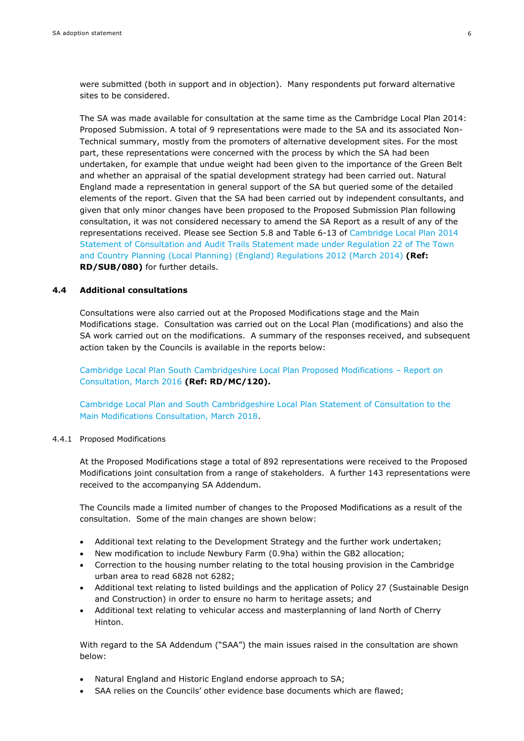were submitted (both in support and in objection). Many respondents put forward alternative sites to be considered.

The SA was made available for consultation at the same time as the Cambridge Local Plan 2014: Proposed Submission. A total of 9 representations were made to the SA and its associated Non-Technical summary, mostly from the promoters of alternative development sites. For the most part, these representations were concerned with the process by which the SA had been undertaken, for example that undue weight had been given to the importance of the Green Belt and whether an appraisal of the spatial development strategy had been carried out. Natural England made a representation in general support of the SA but queried some of the detailed elements of the report. Given that the SA had been carried out by independent consultants, and given that only minor changes have been proposed to the Proposed Submission Plan following consultation, it was not considered necessary to amend the SA Report as a result of any of the representations received. Please see Section 5.8 and Table 6-13 of [Cambridge Local Plan 2014](https://www.cambridge.gov.uk/public/ldf/coredocs/RD-SUB/RD-SUB-C-080.pdf)  [Statement of Consultation and Audit Trails Statement made under Regulation 22 of The Town](https://www.cambridge.gov.uk/public/ldf/coredocs/RD-SUB/RD-SUB-C-080.pdf)  [and Country Planning \(Local Planning\) \(England\) Regulations 2012 \(March 2014\)](https://www.cambridge.gov.uk/public/ldf/coredocs/RD-SUB/RD-SUB-C-080.pdf) **(Ref: RD/SUB/080)** for further details.

#### <span id="page-8-0"></span>**4.4 Additional consultations**

Consultations were also carried out at the Proposed Modifications stage and the Main Modifications stage. Consultation was carried out on the Local Plan (modifications) and also the SA work carried out on the modifications. A summary of the responses received, and subsequent action taken by the Councils is available in the reports below:

[Cambridge Local Plan South Cambridgeshire Local Plan Proposed Modifications](https://www.cambridge.gov.uk/public/ldf/coredocs/RD-MC/rd-mc-120.pdf) – Report on [Consultation, March 2016](https://www.cambridge.gov.uk/public/ldf/coredocs/RD-MC/rd-mc-120.pdf) **(Ref: RD/MC/120).**

[Cambridge Local Plan and South Cambridgeshire Local Plan Statement of Consultation to the](https://cambridge.blob.core.windows.net/public/ldf/coredocs/rd-mm-030.pdf)  [Main Modifications Consultation, March 2018.](https://cambridge.blob.core.windows.net/public/ldf/coredocs/rd-mm-030.pdf)

#### 4.4.1 Proposed Modifications

At the Proposed Modifications stage a total of 892 representations were received to the Proposed Modifications joint consultation from a range of stakeholders. A further 143 representations were received to the accompanying SA Addendum.

The Councils made a limited number of changes to the Proposed Modifications as a result of the consultation. Some of the main changes are shown below:

- Additional text relating to the Development Strategy and the further work undertaken;
- New modification to include Newbury Farm (0.9ha) within the GB2 allocation;
- Correction to the housing number relating to the total housing provision in the Cambridge urban area to read 6828 not 6282;
- Additional text relating to listed buildings and the application of Policy 27 (Sustainable Design and Construction) in order to ensure no harm to heritage assets; and
- Additional text relating to vehicular access and masterplanning of land North of Cherry Hinton.

With regard to the SA Addendum ("SAA") the main issues raised in the consultation are shown below:

- Natural England and Historic England endorse approach to SA;
- SAA relies on the Councils' other evidence base documents which are flawed;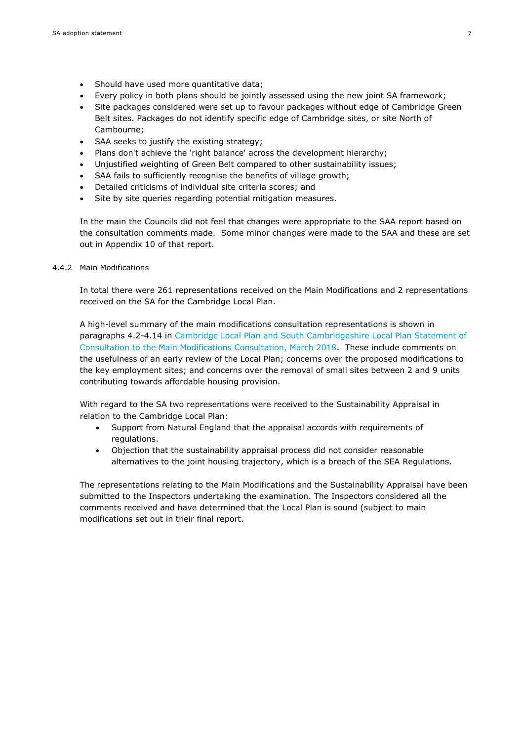- Should have used more quantitative data:
- Every policy in both plans should be jointly assessed using the new joint SA framework;
- Site packages considered were set up to favour packages without edge of Cambridge Green Belt sites. Packages do not identify specific edge of Cambridge sites, or site North of Cambourne;
- SAA seeks to justify the existing strategy;
- Plans don't achieve the 'right balance' across the development hierarchy;
- Unjustified weighting of Green Belt compared to other sustainability issues;
- SAA fails to sufficiently recognise the benefits of village growth;
- Detailed criticisms of individual site criteria scores; and
- Site by site queries regarding potential mitigation measures.

In the main the Councils did not feel that changes were appropriate to the SAA report based on the consultation comments made. Some minor changes were made to the SAA and these are set out in Appendix 10 of that report.

#### 4.4.2 Main Modifications

In total there were 261 representations received on the Main Modifications and 2 representations received on the SA for the Cambridge Local Plan.

A high-level summary of the main modifications consultation representations is shown in paragraphs 4.2-4.14 in [Cambridge Local Plan and South Cambridgeshire Local Plan Statement of](https://cambridge.blob.core.windows.net/public/ldf/coredocs/rd-mm-030.pdf)  [Consultation to the Main Modifications Consultation, March 2018.](https://cambridge.blob.core.windows.net/public/ldf/coredocs/rd-mm-030.pdf) These include comments on the usefulness of an early review of the Local Plan; concerns over the proposed modifications to the key employment sites; and concerns over the removal of small sites between 2 and 9 units contributing towards affordable housing provision.

With regard to the SA two representations were received to the Sustainability Appraisal in relation to the Cambridge Local Plan:

- Support from Natural England that the appraisal accords with requirements of regulations.
- Objection that the sustainability appraisal process did not consider reasonable alternatives to the joint housing trajectory, which is a breach of the SEA Regulations.

The representations relating to the Main Modifications and the Sustainability Appraisal have been submitted to the Inspectors undertaking the examination. The Inspectors considered all the comments received and have determined that the Local Plan is sound (subject to main modifications set out in their final report.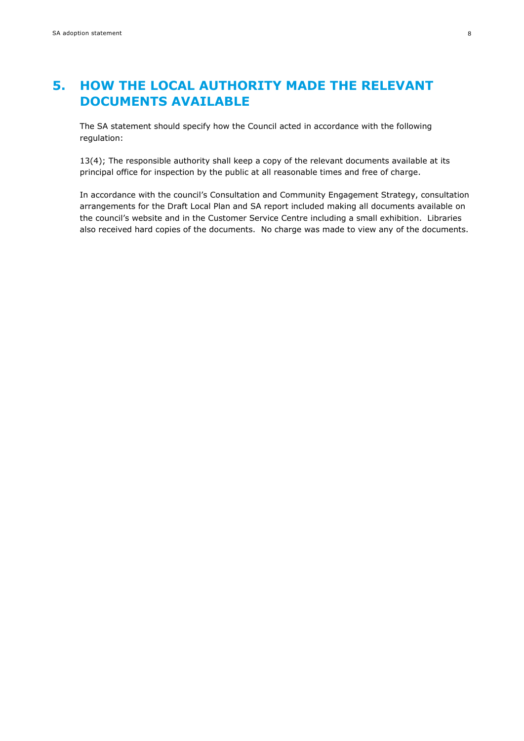### <span id="page-10-0"></span>**5. HOW THE LOCAL AUTHORITY MADE THE RELEVANT DOCUMENTS AVAILABLE**

The SA statement should specify how the Council acted in accordance with the following regulation:

13(4); The responsible authority shall keep a copy of the relevant documents available at its principal office for inspection by the public at all reasonable times and free of charge.

In accordance with the council's Consultation and Community Engagement Strategy, consultation arrangements for the Draft Local Plan and SA report included making all documents available on the council's website and in the Customer Service Centre including a small exhibition. Libraries also received hard copies of the documents. No charge was made to view any of the documents.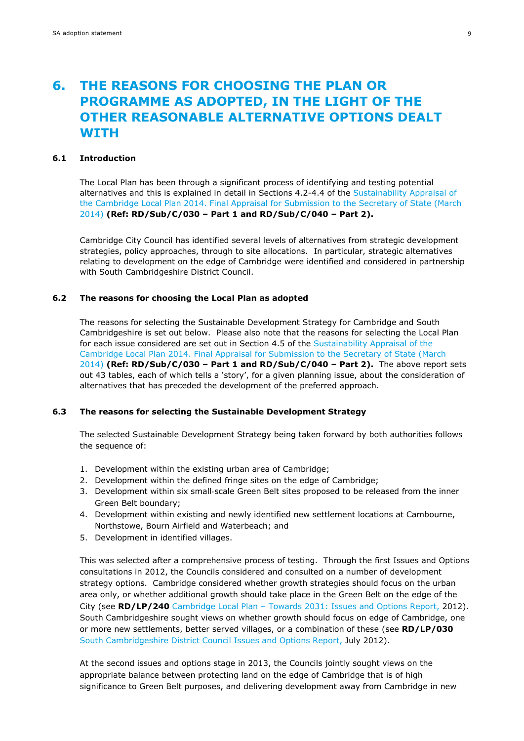# <span id="page-11-0"></span>**6. THE REASONS FOR CHOOSING THE PLAN OR PROGRAMME AS ADOPTED, IN THE LIGHT OF THE OTHER REASONABLE ALTERNATIVE OPTIONS DEALT WITH**

### <span id="page-11-1"></span>**6.1 Introduction**

The Local Plan has been through a significant process of identifying and testing potential alternatives and this is explained in detail in Sections 4.2-4.4 of the [Sustainability Appraisal of](https://www.cambridge.gov.uk/public/ldf/coredocs/RD-SUB-C-030.pdf)  [the Cambridge Local Plan 2014. Final Appraisal for Submission to the Secretary of State \(March](https://www.cambridge.gov.uk/public/ldf/coredocs/RD-SUB-C-030.pdf)  [2014\)](https://www.cambridge.gov.uk/public/ldf/coredocs/RD-SUB-C-030.pdf) **(Ref: RD/Sub/C/030 – Part 1 and RD/Sub/C/040 – Part 2).**

Cambridge City Council has identified several levels of alternatives from strategic development strategies, policy approaches, through to site allocations. In particular, strategic alternatives relating to development on the edge of Cambridge were identified and considered in partnership with South Cambridgeshire District Council.

### <span id="page-11-2"></span>**6.2 The reasons for choosing the Local Plan as adopted**

The reasons for selecting the Sustainable Development Strategy for Cambridge and South Cambridgeshire is set out below. Please also note that the reasons for selecting the Local Plan for each issue considered are set out in Section 4.5 of the Sustainability Appraisal of the [Cambridge Local Plan 2014. Final Appraisal for Submission to the Secretary of State \(March](https://www.cambridge.gov.uk/public/ldf/coredocs/RD-SUB-C-030.pdf)  [2014\)](https://www.cambridge.gov.uk/public/ldf/coredocs/RD-SUB-C-030.pdf) **(Ref: RD/Sub/C/030 – Part 1 and RD/Sub/C/040 – Part 2).** The above report sets out 43 tables, each of which tells a 'story', for a given planning issue, about the consideration of alternatives that has preceded the development of the preferred approach.

### <span id="page-11-3"></span>**6.3 The reasons for selecting the Sustainable Development Strategy**

The selected Sustainable Development Strategy being taken forward by both authorities follows the sequence of:

- 1. Development within the existing urban area of Cambridge;
- 2. Development within the defined fringe sites on the edge of Cambridge;
- 3. Development within six small‐scale Green Belt sites proposed to be released from the inner Green Belt boundary;
- 4. Development within existing and newly identified new settlement locations at Cambourne, Northstowe, Bourn Airfield and Waterbeach; and
- 5. Development in identified villages.

This was selected after a comprehensive process of testing. Through the first Issues and Options consultations in 2012, the Councils considered and consulted on a number of development strategy options. Cambridge considered whether growth strategies should focus on the urban area only, or whether additional growth should take place in the Green Belt on the edge of the City (see **RD/LP/240** Cambridge Local Plan – [Towards 2031: Issues and Options Report,](https://cambridge.blob.core.windows.net/public/ldf/coredocs/RD-LP-240.pdf) 2012). South Cambridgeshire sought views on whether growth should focus on edge of Cambridge, one or more new settlements, better served villages, or a combination of these (see **RD/LP/030**  [South Cambridgeshire District Council Issues and Options Report,](https://www.scambs.gov.uk/planning/local-plan-and-neighbourhood-planning/emerging-local-plans-and-guidance/emerging-local-plan/consultation-on-issues-and-options-july-september-2012/) July 2012).

At the second issues and options stage in 2013, the Councils jointly sought views on the appropriate balance between protecting land on the edge of Cambridge that is of high significance to Green Belt purposes, and delivering development away from Cambridge in new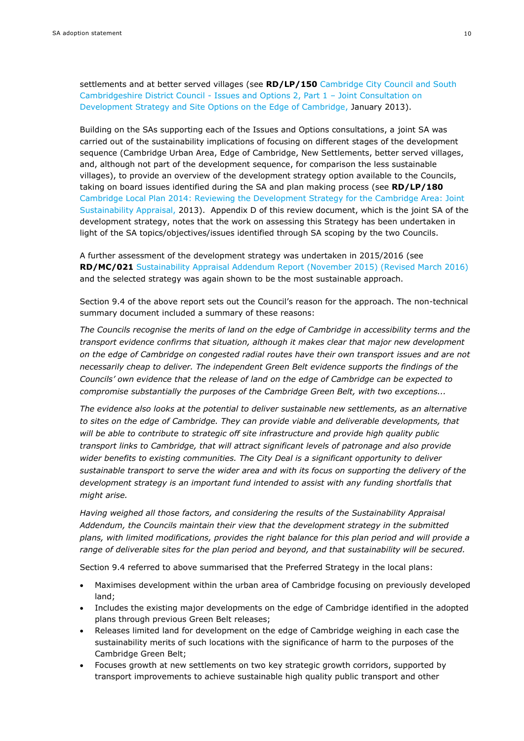settlements and at better served villages (see **RD/LP/150** [Cambridge City Council and South](https://cambridge.blob.core.windows.net/public/ldf/coredocs/RD-LP-150.pdf)  [Cambridgeshire District Council -](https://cambridge.blob.core.windows.net/public/ldf/coredocs/RD-LP-150.pdf) Issues and Options 2, Part 1 – Joint Consultation on [Development Strategy and Site Options on the Edge of Cambridge,](https://cambridge.blob.core.windows.net/public/ldf/coredocs/RD-LP-150.pdf) January 2013).

Building on the SAs supporting each of the Issues and Options consultations, a joint SA was carried out of the sustainability implications of focusing on different stages of the development sequence (Cambridge Urban Area, Edge of Cambridge, New Settlements, better served villages, and, although not part of the development sequence, for comparison the less sustainable villages), to provide an overview of the development strategy option available to the Councils, taking on board issues identified during the SA and plan making process (see **RD/LP/180** [Cambridge Local Plan 2014: Reviewing the Development Strategy for the Cambridge Area: Joint](https://www.cambridge.gov.uk/public/ldf/coredocs/Joint%20SA%20of%20the%20Development%20Strategy.pdf)  [Sustainability Appraisal,](https://www.cambridge.gov.uk/public/ldf/coredocs/Joint%20SA%20of%20the%20Development%20Strategy.pdf) 2013). Appendix D of this review document, which is the joint SA of the development strategy, notes that the work on assessing this Strategy has been undertaken in light of the SA topics/objectives/issues identified through SA scoping by the two Councils.

A further assessment of the development strategy was undertaken in 2015/2016 (see **RD/MC/021** [Sustainability Appraisal Addendum Report \(November 2015\) \(Revised March 2016\)](https://www.cambridge.gov.uk/public/ldf/coredocs/RD-MC/rd-mc-021/rd-mc-021-2-main.pdf) and the selected strategy was again shown to be the most sustainable approach.

Section 9.4 of the above report sets out the Council's reason for the approach. The non-technical summary document included a summary of these reasons:

*The Councils recognise the merits of land on the edge of Cambridge in accessibility terms and the transport evidence confirms that situation, although it makes clear that major new development on the edge of Cambridge on congested radial routes have their own transport issues and are not necessarily cheap to deliver. The independent Green Belt evidence supports the findings of the Councils' own evidence that the release of land on the edge of Cambridge can be expected to compromise substantially the purposes of the Cambridge Green Belt, with two exceptions...* 

*The evidence also looks at the potential to deliver sustainable new settlements, as an alternative to sites on the edge of Cambridge. They can provide viable and deliverable developments, that will be able to contribute to strategic off site infrastructure and provide high quality public transport links to Cambridge, that will attract significant levels of patronage and also provide wider benefits to existing communities. The City Deal is a significant opportunity to deliver sustainable transport to serve the wider area and with its focus on supporting the delivery of the development strategy is an important fund intended to assist with any funding shortfalls that might arise.* 

*Having weighed all those factors, and considering the results of the Sustainability Appraisal Addendum, the Councils maintain their view that the development strategy in the submitted plans, with limited modifications, provides the right balance for this plan period and will provide a range of deliverable sites for the plan period and beyond, and that sustainability will be secured.*

Section 9.4 referred to above summarised that the Preferred Strategy in the local plans:

- Maximises development within the urban area of Cambridge focusing on previously developed land;
- Includes the existing major developments on the edge of Cambridge identified in the adopted plans through previous Green Belt releases;
- Releases limited land for development on the edge of Cambridge weighing in each case the sustainability merits of such locations with the significance of harm to the purposes of the Cambridge Green Belt;
- Focuses growth at new settlements on two key strategic growth corridors, supported by transport improvements to achieve sustainable high quality public transport and other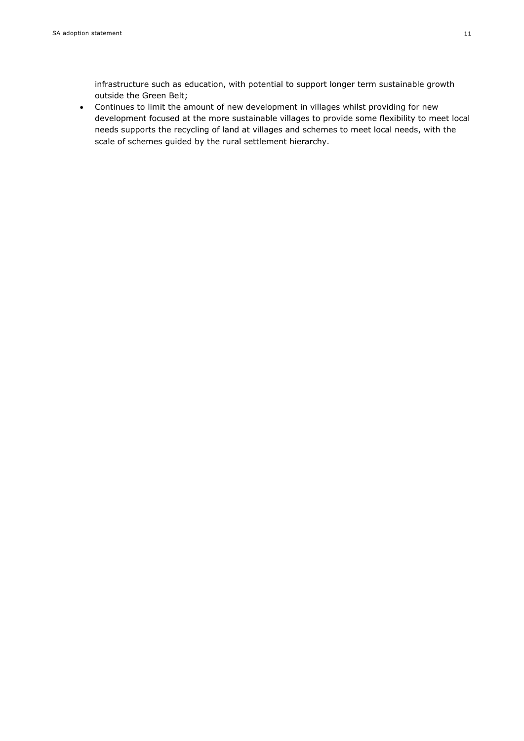infrastructure such as education, with potential to support longer term sustainable growth outside the Green Belt;

 Continues to limit the amount of new development in villages whilst providing for new development focused at the more sustainable villages to provide some flexibility to meet local needs supports the recycling of land at villages and schemes to meet local needs, with the scale of schemes guided by the rural settlement hierarchy.